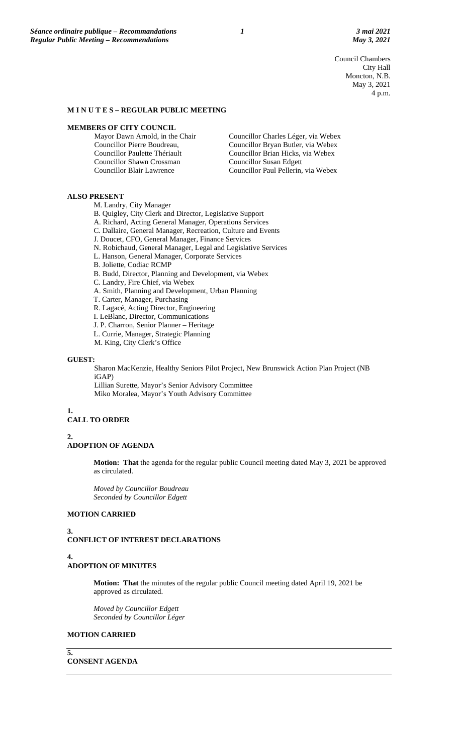Council Chambers City Hall Moncton, N.B. May 3, 2021 4 p.m.

#### **M I N U T E S – REGULAR PUBLIC MEETING**

#### **MEMBERS OF CITY COUNCIL**

| Councillor Charles Léger, via Webex |
|-------------------------------------|
| Councillor Bryan Butler, via Webex  |
| Councillor Brian Hicks, via Webex   |
|                                     |
| Councillor Paul Pellerin, via Webex |
|                                     |

#### **ALSO PRESENT**

M. Landry, City Manager

B. Quigley, City Clerk and Director, Legislative Support

- A. Richard, Acting General Manager, Operations Services
- C. Dallaire, General Manager, Recreation, Culture and Events
- J. Doucet, CFO, General Manager, Finance Services
- N. Robichaud, General Manager, Legal and Legislative Services
- L. Hanson, General Manager, Corporate Services
- B. Joliette, Codiac RCMP
- B. Budd, Director, Planning and Development, via Webex
- C. Landry, Fire Chief, via Webex
- A. Smith, Planning and Development, Urban Planning
- T. Carter, Manager, Purchasing
- R. Lagacé, Acting Director, Engineering
- I. LeBlanc, Director, Communications
- J. P. Charron, Senior Planner Heritage
- L. Currie, Manager, Strategic Planning
- M. King, City Clerk's Office

#### **GUEST:**

Sharon MacKenzie, Healthy Seniors Pilot Project, New Brunswick Action Plan Project (NB iGAP)

Lillian Surette, Mayor's Senior Advisory Committee Miko Moralea, Mayor's Youth Advisory Committee

#### **1. CALL TO ORDER**

# **2.**

# **ADOPTION OF AGENDA**

**Motion: That** the agenda for the regular public Council meeting dated May 3, 2021 be approved as circulated.

*Moved by Councillor Boudreau Seconded by Councillor Edgett*

### **MOTION CARRIED**

#### **3.**

**CONFLICT OF INTEREST DECLARATIONS**

#### **4. ADOPTION OF MINUTES**

**Motion: That** the minutes of the regular public Council meeting dated April 19, 2021 be approved as circulated.

*Moved by Councillor Edgett Seconded by Councillor Léger*

# **MOTION CARRIED**

**5.**

# **CONSENT AGENDA**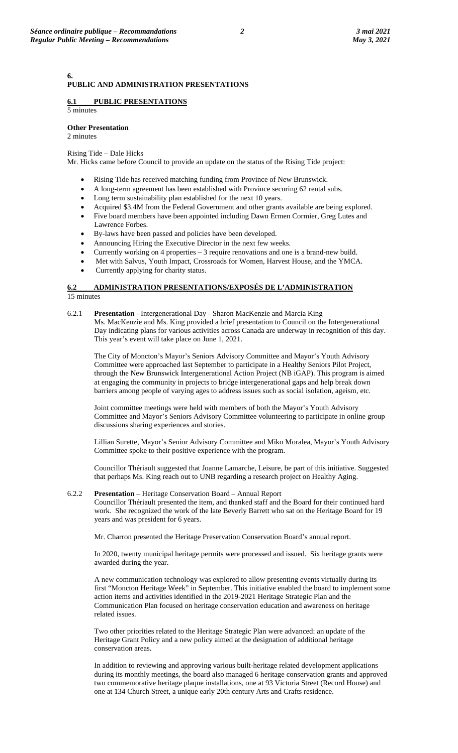#### **6. PUBLIC AND ADMINISTRATION PRESENTATIONS**

#### **6.1 PUBLIC PRESENTATIONS** 5 minutes

**Other Presentation**  2 minutes

Rising Tide – Dale Hicks

Mr. Hicks came before Council to provide an update on the status of the Rising Tide project:

- Rising Tide has received matching funding from Province of New Brunswick.
- A long-term agreement has been established with Province securing 62 rental subs.
- Long term sustainability plan established for the next 10 years.
- Acquired \$3.4M from the Federal Government and other grants available are being explored.
- Five board members have been appointed including Dawn Ermen Cormier, Greg Lutes and Lawrence Forbes.
- By-laws have been passed and policies have been developed.
- Announcing Hiring the Executive Director in the next few weeks.
- Currently working on 4 properties 3 require renovations and one is a brand-new build.
- Met with Salvus, Youth Impact, Crossroads for Women, Harvest House, and the YMCA.
- Currently applying for charity status.

### **6.2 ADMINISTRATION PRESENTATIONS/EXPOSÉS DE L'ADMINISTRATION**  15 minutes

6.2.1 **Presentation** - Intergenerational Day - Sharon MacKenzie and Marcia King Ms. MacKenzie and Ms. King provided a brief presentation to Council on the Intergenerational Day indicating plans for various activities across Canada are underway in recognition of this day. This year's event will take place on June 1, 2021.

The City of Moncton's Mayor's Seniors Advisory Committee and Mayor's Youth Advisory Committee were approached last September to participate in a Healthy Seniors Pilot Project, through the New Brunswick Intergenerational Action Project (NB iGAP). This program is aimed at engaging the community in projects to bridge intergenerational gaps and help break down barriers among people of varying ages to address issues such as social isolation, ageism, etc.

Joint committee meetings were held with members of both the Mayor's Youth Advisory Committee and Mayor's Seniors Advisory Committee volunteering to participate in online group discussions sharing experiences and stories.

Lillian Surette, Mayor's Senior Advisory Committee and Miko Moralea, Mayor's Youth Advisory Committee spoke to their positive experience with the program.

Councillor Thériault suggested that Joanne Lamarche, Leisure, be part of this initiative. Suggested that perhaps Ms. King reach out to UNB regarding a research project on Healthy Aging.

6.2.2 **Presentation** – Heritage Conservation Board – Annual Report

Councillor Thériault presented the item, and thanked staff and the Board for their continued hard work. She recognized the work of the late Beverly Barrett who sat on the Heritage Board for 19 years and was president for 6 years.

Mr. Charron presented the Heritage Preservation Conservation Board's annual report.

In 2020, twenty municipal heritage permits were processed and issued. Six heritage grants were awarded during the year.

A new communication technology was explored to allow presenting events virtually during its first "Moncton Heritage Week" in September. This initiative enabled the board to implement some action items and activities identified in the 2019-2021 Heritage Strategic Plan and the Communication Plan focused on heritage conservation education and awareness on heritage related issues.

Two other priorities related to the Heritage Strategic Plan were advanced: an update of the Heritage Grant Policy and a new policy aimed at the designation of additional heritage conservation areas.

In addition to reviewing and approving various built-heritage related development applications during its monthly meetings, the board also managed 6 heritage conservation grants and approved two commemorative heritage plaque installations, one at 93 Victoria Street (Record House) and one at 134 Church Street, a unique early 20th century Arts and Crafts residence.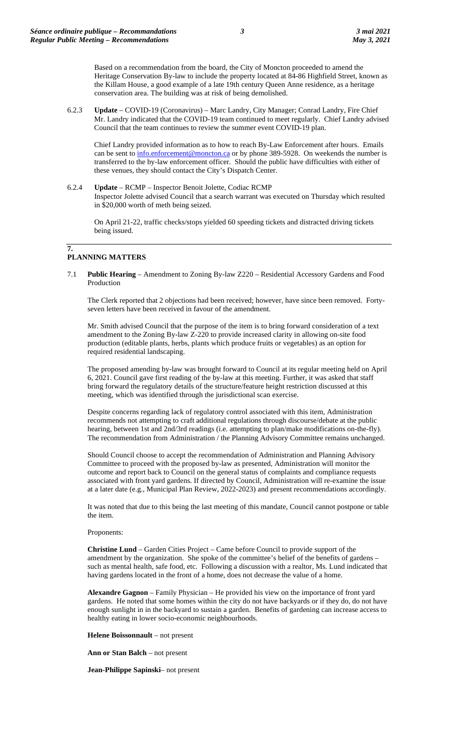Based on a recommendation from the board, the City of Moncton proceeded to amend the Heritage Conservation By-law to include the property located at 84-86 Highfield Street, known as the Killam House, a good example of a late 19th century Queen Anne residence, as a heritage conservation area. The building was at risk of being demolished.

6.2.3 **Update** – COVID-19 (Coronavirus) – Marc Landry, City Manager; Conrad Landry, Fire Chief Mr. Landry indicated that the COVID-19 team continued to meet regularly. Chief Landry advised Council that the team continues to review the summer event COVID-19 plan.

Chief Landry provided information as to how to reach By-Law Enforcement after hours. Emails can be sent to  $\frac{info}{info}$  centerement@moncton.ca or by phone 389-5928. On weekends the number is transferred to the by-law enforcement officer. Should the public have difficulties with either of these venues, they should contact the City's Dispatch Center.

6.2.4 **Update** – RCMP – Inspector Benoit Jolette, Codiac RCMP Inspector Jolette advised Council that a search warrant was executed on Thursday which resulted in \$20,000 worth of meth being seized.

On April 21-22, traffic checks/stops yielded 60 speeding tickets and distracted driving tickets being issued.

# **PLANNING MATTERS**

**7.**

7.1 **Public Hearing** – Amendment to Zoning By-law Z220 – Residential Accessory Gardens and Food Production

The Clerk reported that 2 objections had been received; however, have since been removed. Fortyseven letters have been received in favour of the amendment.

Mr. Smith advised Council that the purpose of the item is to bring forward consideration of a text amendment to the Zoning By-law Z-220 to provide increased clarity in allowing on-site food production (editable plants, herbs, plants which produce fruits or vegetables) as an option for required residential landscaping.

The proposed amending by-law was brought forward to Council at its regular meeting held on April 6, 2021. Council gave first reading of the by-law at this meeting. Further, it was asked that staff bring forward the regulatory details of the structure/feature height restriction discussed at this meeting, which was identified through the jurisdictional scan exercise.

Despite concerns regarding lack of regulatory control associated with this item, Administration recommends not attempting to craft additional regulations through discourse/debate at the public hearing, between 1st and 2nd/3rd readings (i.e. attempting to plan/make modifications on-the-fly). The recommendation from Administration / the Planning Advisory Committee remains unchanged.

Should Council choose to accept the recommendation of Administration and Planning Advisory Committee to proceed with the proposed by-law as presented, Administration will monitor the outcome and report back to Council on the general status of complaints and compliance requests associated with front yard gardens. If directed by Council, Administration will re-examine the issue at a later date (e.g., Municipal Plan Review, 2022-2023) and present recommendations accordingly.

It was noted that due to this being the last meeting of this mandate, Council cannot postpone or table the item.

#### Proponents:

**Christine Lund** – Garden Cities Project – Came before Council to provide support of the amendment by the organization. She spoke of the committee's belief of the benefits of gardens – such as mental health, safe food, etc. Following a discussion with a realtor, Ms. Lund indicated that having gardens located in the front of a home, does not decrease the value of a home.

**Alexandre Gagnon** – Family Physician – He provided his view on the importance of front yard gardens. He noted that some homes within the city do not have backyards or if they do, do not have enough sunlight in in the backyard to sustain a garden. Benefits of gardening can increase access to healthy eating in lower socio-economic neighbourhoods.

**Helene Boissonnault** – not present

**Ann or Stan Balch** – not present

**Jean-Philippe Sapinski**– not present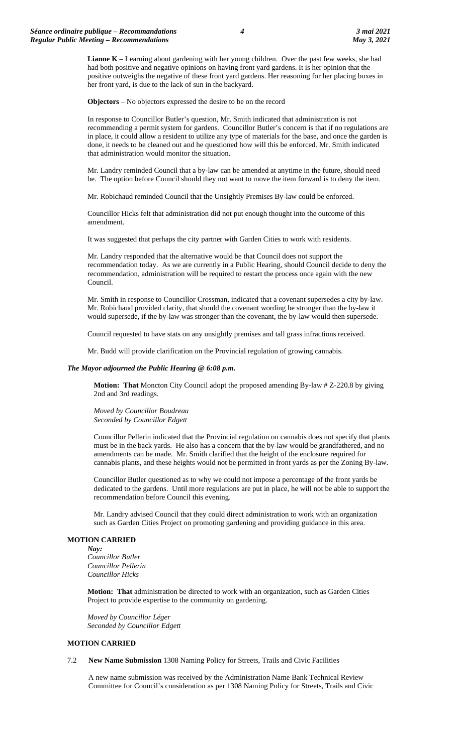**Lianne K** – Learning about gardening with her young children. Over the past few weeks, she had had both positive and negative opinions on having front yard gardens. It is her opinion that the positive outweighs the negative of these front yard gardens. Her reasoning for her placing boxes in her front yard, is due to the lack of sun in the backyard.

**Objectors** – No objectors expressed the desire to be on the record

In response to Councillor Butler's question, Mr. Smith indicated that administration is not recommending a permit system for gardens. Councillor Butler's concern is that if no regulations are in place, it could allow a resident to utilize any type of materials for the base, and once the garden is done, it needs to be cleaned out and he questioned how will this be enforced. Mr. Smith indicated that administration would monitor the situation.

Mr. Landry reminded Council that a by-law can be amended at anytime in the future, should need be. The option before Council should they not want to move the item forward is to deny the item.

Mr. Robichaud reminded Council that the Unsightly Premises By-law could be enforced.

Councillor Hicks felt that administration did not put enough thought into the outcome of this amendment.

It was suggested that perhaps the city partner with Garden Cities to work with residents.

Mr. Landry responded that the alternative would be that Council does not support the recommendation today. As we are currently in a Public Hearing, should Council decide to deny the recommendation, administration will be required to restart the process once again with the new Council.

Mr. Smith in response to Councillor Crossman, indicated that a covenant supersedes a city by-law. Mr. Robichaud provided clarity, that should the covenant wording be stronger than the by-law it would supersede, if the by-law was stronger than the covenant, the by-law would then supersede.

Council requested to have stats on any unsightly premises and tall grass infractions received.

Mr. Budd will provide clarification on the Provincial regulation of growing cannabis.

### *The Mayor adjourned the Public Hearing* **@** *6:08 p.m.*

**Motion: That** Moncton City Council adopt the proposed amending By-law # Z-220.8 by giving 2nd and 3rd readings.

*Moved by Councillor Boudreau Seconded by Councillor Edgett*

Councillor Pellerin indicated that the Provincial regulation on cannabis does not specify that plants must be in the back yards. He also has a concern that the by-law would be grandfathered, and no amendments can be made. Mr. Smith clarified that the height of the enclosure required for cannabis plants, and these heights would not be permitted in front yards as per the Zoning By-law.

Councillor Butler questioned as to why we could not impose a percentage of the front yards be dedicated to the gardens. Until more regulations are put in place, he will not be able to support the recommendation before Council this evening.

Mr. Landry advised Council that they could direct administration to work with an organization such as Garden Cities Project on promoting gardening and providing guidance in this area.

# **MOTION CARRIED**

*Nay: Councillor Butler Councillor Pellerin Councillor Hicks*

**Motion: That** administration be directed to work with an organization, such as Garden Cities Project to provide expertise to the community on gardening.

*Moved by Councillor Léger Seconded by Councillor Edgett*

#### **MOTION CARRIED**

#### 7.2 **New Name Submission** 1308 Naming Policy for Streets, Trails and Civic Facilities

A new name submission was received by the Administration Name Bank Technical Review Committee for Council's consideration as per 1308 Naming Policy for Streets, Trails and Civic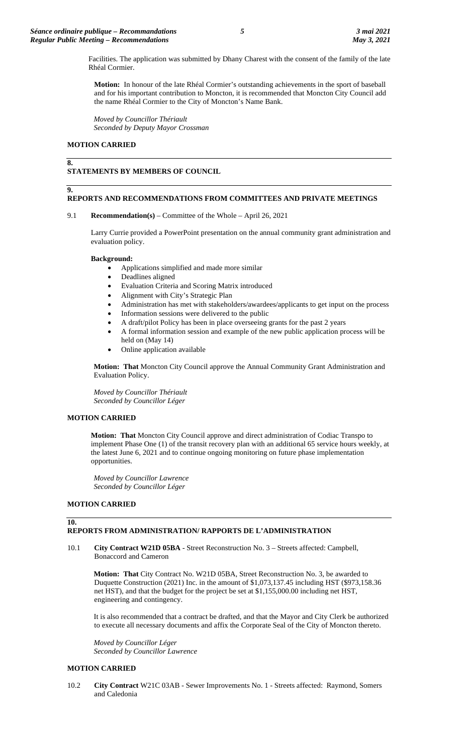Facilities. The application was submitted by Dhany Charest with the consent of the family of the late Rhéal Cormier.

**Motion:** In honour of the late Rhéal Cormier's outstanding achievements in the sport of baseball and for his important contribution to Moncton, it is recommended that Moncton City Council add the name Rhéal Cormier to the City of Moncton's Name Bank.

*Moved by Councillor Thériault Seconded by Deputy Mayor Crossman*

#### **MOTION CARRIED**

# **8.**

# **STATEMENTS BY MEMBERS OF COUNCIL**

#### **9.**

### **REPORTS AND RECOMMENDATIONS FROM COMMITTEES AND PRIVATE MEETINGS**

#### 9.1 **Recommendation(s)** – Committee of the Whole – April 26, 2021

Larry Currie provided a PowerPoint presentation on the annual community grant administration and evaluation policy.

#### **Background:**

- Applications simplified and made more similar
- Deadlines aligned
- Evaluation Criteria and Scoring Matrix introduced
- Alignment with City's Strategic Plan
- Administration has met with stakeholders/awardees/applicants to get input on the process
- Information sessions were delivered to the public
- A draft/pilot Policy has been in place overseeing grants for the past 2 years
- A formal information session and example of the new public application process will be held on (May 14)
- Online application available

**Motion: That** Moncton City Council approve the Annual Community Grant Administration and Evaluation Policy.

*Moved by Councillor Thériault Seconded by Councillor Léger*

#### **MOTION CARRIED**

**Motion: That** Moncton City Council approve and direct administration of Codiac Transpo to implement Phase One (1) of the transit recovery plan with an additional 65 service hours weekly, at the latest June 6, 2021 and to continue ongoing monitoring on future phase implementation opportunities.

*Moved by Councillor Lawrence Seconded by Councillor Léger*

# **MOTION CARRIED**

# **10.**

# **REPORTS FROM ADMINISTRATION/ RAPPORTS DE L'ADMINISTRATION**

10.1 **City Contract W21D 05BA** - Street Reconstruction No. 3 – Streets affected: Campbell, Bonaccord and Cameron

**Motion: That** City Contract No. W21D 05BA, Street Reconstruction No. 3, be awarded to Duquette Construction (2021) Inc. in the amount of \$1,073,137.45 including HST (\$973,158.36 net HST), and that the budget for the project be set at \$1,155,000.00 including net HST, engineering and contingency.

It is also recommended that a contract be drafted, and that the Mayor and City Clerk be authorized to execute all necessary documents and affix the Corporate Seal of the City of Moncton thereto.

*Moved by Councillor Léger Seconded by Councillor Lawrence*

### **MOTION CARRIED**

10.2 **City Contract** W21C 03AB - Sewer Improvements No. 1 - Streets affected: Raymond, Somers and Caledonia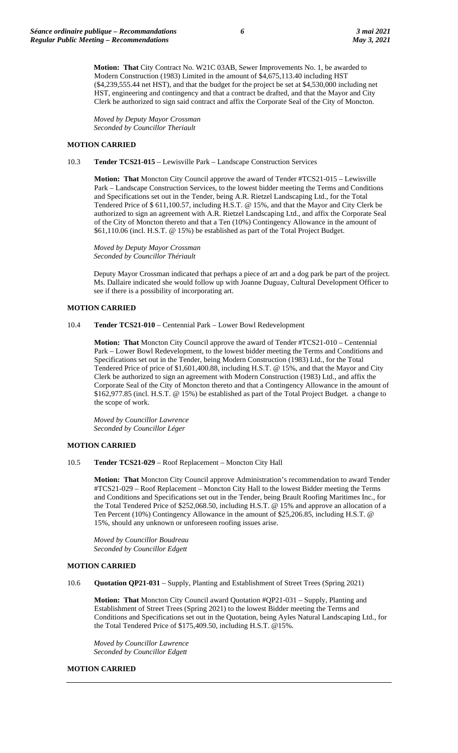**Motion: That** City Contract No. W21C 03AB, Sewer Improvements No. 1, be awarded to Modern Construction (1983) Limited in the amount of \$4,675,113.40 including HST (\$4,239,555.44 net HST), and that the budget for the project be set at \$4,530,000 including net HST, engineering and contingency and that a contract be drafted, and that the Mayor and City Clerk be authorized to sign said contract and affix the Corporate Seal of the City of Moncton.

*Moved by Deputy Mayor Crossman Seconded by Councillor Theriault*

### **MOTION CARRIED**

10.3 **Tender TCS21-015** – Lewisville Park – Landscape Construction Services

**Motion: That** Moncton City Council approve the award of Tender #TCS21-015 – Lewisville Park – Landscape Construction Services, to the lowest bidder meeting the Terms and Conditions and Specifications set out in the Tender, being A.R. Rietzel Landscaping Ltd., for the Total Tendered Price of \$ 611,100.57, including H.S.T. @ 15%, and that the Mayor and City Clerk be authorized to sign an agreement with A.R. Rietzel Landscaping Ltd., and affix the Corporate Seal of the City of Moncton thereto and that a Ten (10%) Contingency Allowance in the amount of \$61,110.06 (incl. H.S.T. @ 15%) be established as part of the Total Project Budget.

*Moved by Deputy Mayor Crossman Seconded by Councillor Thériault*

Deputy Mayor Crossman indicated that perhaps a piece of art and a dog park be part of the project. Ms. Dallaire indicated she would follow up with Joanne Duguay, Cultural Development Officer to see if there is a possibility of incorporating art.

# **MOTION CARRIED**

10.4 **Tender TCS21-010** – Centennial Park – Lower Bowl Redevelopment

**Motion: That** Moncton City Council approve the award of Tender #TCS21-010 – Centennial Park – Lower Bowl Redevelopment, to the lowest bidder meeting the Terms and Conditions and Specifications set out in the Tender, being Modern Construction (1983) Ltd., for the Total Tendered Price of price of \$1,601,400.88, including H.S.T. @ 15%, and that the Mayor and City Clerk be authorized to sign an agreement with Modern Construction (1983) Ltd., and affix the Corporate Seal of the City of Moncton thereto and that a Contingency Allowance in the amount of \$162,977.85 (incl. H.S.T. @ 15%) be established as part of the Total Project Budget. a change to the scope of work.

*Moved by Councillor Lawrence Seconded by Councillor Léger*

# **MOTION CARRIED**

10.5 **Tender TCS21-029** – Roof Replacement – Moncton City Hall

**Motion: That** Moncton City Council approve Administration's recommendation to award Tender #TCS21-029 – Roof Replacement – Moncton City Hall to the lowest Bidder meeting the Terms and Conditions and Specifications set out in the Tender, being Brault Roofing Maritimes Inc., for the Total Tendered Price of \$252,068.50, including H.S.T. @ 15% and approve an allocation of a Ten Percent (10%) Contingency Allowance in the amount of \$25,206.85, including H.S.T. @ 15%, should any unknown or unforeseen roofing issues arise.

*Moved by Councillor Boudreau Seconded by Councillor Edgett*

#### **MOTION CARRIED**

10.6 **Quotation QP21-031** – Supply, Planting and Establishment of Street Trees (Spring 2021)

**Motion: That** Moncton City Council award Quotation #QP21-031 – Supply, Planting and Establishment of Street Trees (Spring 2021) to the lowest Bidder meeting the Terms and Conditions and Specifications set out in the Quotation, being Ayles Natural Landscaping Ltd., for the Total Tendered Price of \$175,409.50, including H.S.T. @15%.

*Moved by Councillor Lawrence Seconded by Councillor Edgett*

#### **MOTION CARRIED**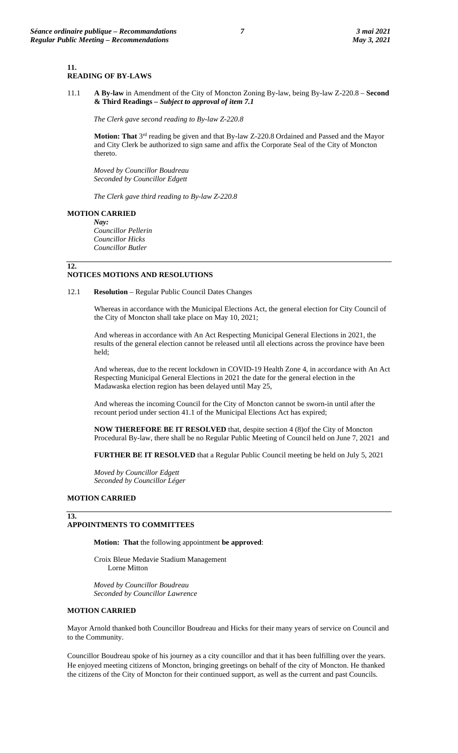### **11.**

# **READING OF BY-LAWS**

11.1 **A By-law** in Amendment of the City of Moncton Zoning By-law, being By-law Z-220.8 – **Second & Third Readings** *– Subject to approval of item 7.1*

*The Clerk gave second reading to By-law Z-220.8*

**Motion: That** 3rd reading be given and that By-law Z-220.8 Ordained and Passed and the Mayor and City Clerk be authorized to sign same and affix the Corporate Seal of the City of Moncton thereto.

*Moved by Councillor Boudreau Seconded by Councillor Edgett*

*The Clerk gave third reading to By-law Z-220.8*

#### **MOTION CARRIED**

*Nay: Councillor Pellerin Councillor Hicks Councillor Butler*

### **12.**

### **NOTICES MOTIONS AND RESOLUTIONS**

12.1 **Resolution** – Regular Public Council Dates Changes

Whereas in accordance with the Municipal Elections Act, the general election for City Council of the City of Moncton shall take place on May 10, 2021;

And whereas in accordance with An Act Respecting Municipal General Elections in 2021, the results of the general election cannot be released until all elections across the province have been held;

And whereas, due to the recent lockdown in COVID-19 Health Zone 4, in accordance with An Act Respecting Municipal General Elections in 2021 the date for the general election in the Madawaska election region has been delayed until May 25,

And whereas the incoming Council for the City of Moncton cannot be sworn-in until after the recount period under section 41.1 of the Municipal Elections Act has expired;

**NOW THEREFORE BE IT RESOLVED** that, despite section 4 (8)of the City of Moncton Procedural By-law, there shall be no Regular Public Meeting of Council held on June 7, 2021 and

**FURTHER BE IT RESOLVED** that a Regular Public Council meeting be held on July 5, 2021

*Moved by Councillor Edgett Seconded by Councillor Léger*

#### **MOTION CARRIED**

# **13.**

# **APPOINTMENTS TO COMMITTEES**

**Motion: That** the following appointment **be approved**:

Croix Bleue Medavie Stadium Management Lorne Mitton

*Moved by Councillor Boudreau Seconded by Councillor Lawrence*

#### **MOTION CARRIED**

Mayor Arnold thanked both Councillor Boudreau and Hicks for their many years of service on Council and to the Community.

Councillor Boudreau spoke of his journey as a city councillor and that it has been fulfilling over the years. He enjoyed meeting citizens of Moncton, bringing greetings on behalf of the city of Moncton. He thanked the citizens of the City of Moncton for their continued support, as well as the current and past Councils.